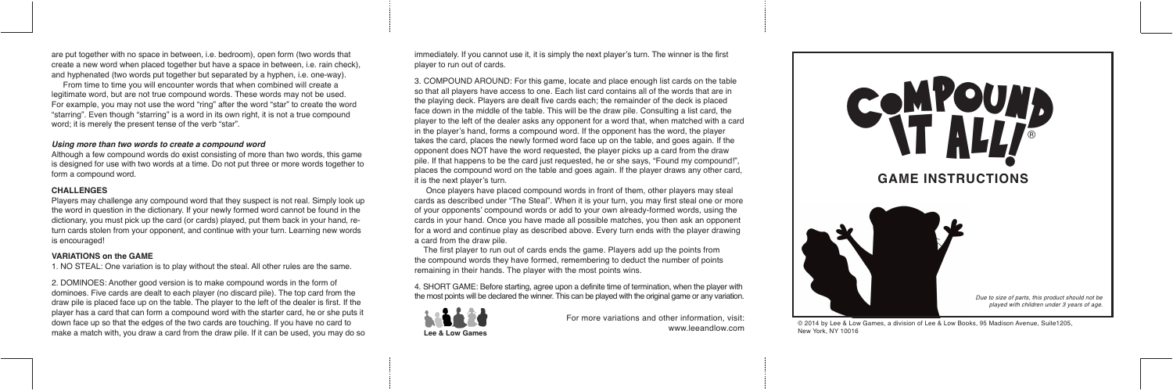are put together with no space in between, i.e. bedroom), open form (two words that create a new word when placed together but have a space in between, i.e. rain check), and hyphenated (two words put together but separated by a hyphen, i.e. one-way).

From time to time you will encounter words that when combined will create a legitimate word, but are not true compound words. These words may not be used. For example, you may not use the word "ring" after the word "star" to create the word "starring". Even though "starring" is a word in its own right, it is not a true compound word; it is merely the present tense of the verb "star".

## *Using more than two words to create a compound word*

Although a few compound words do exist consisting of more than two words, this game is designed for use with two words at a time. Do not put three or more words together to form a compound word.

#### **CHALLENGES**

Players may challenge any compound word that they suspect is not real. Simply look up the word in question in the dictionary. If your newly formed word cannot be found in the dictionary, you must pick up the card (or cards) played, put them back in your hand, return cards stolen from your opponent, and continue with your turn. Learning new words is encouraged!

## **VARIATIONS on the GAME**

1. NO STEAL: One variation is to play without the steal. All other rules are the same.

2. DOMINOES: Another good version is to make compound words in the form of dominoes. Five cards are dealt to each player (no discard pile). The top card from the draw pile is placed face up on the table. The player to the left of the dealer is first. If the player has a card that can form a compound word with the starter card, he or she puts it down face up so that the edges of the two cards are touching. If you have no card to make a match with, you draw a card from the draw pile. If it can be used, you may do so immediately. If you cannot use it, it is simply the next player's turn. The winner is the first player to run out of cards.



3. COMPOUND AROUND: For this game, locate and place enough list cards on the table so that all players have access to one. Each list card contains all of the words that are in the playing deck. Players are dealt five cards each; the remainder of the deck is placed face down in the middle of the table. This will be the draw pile. Consulting a list card, the player to the left of the dealer asks any opponent for a word that, when matched with a card in the player's hand, forms a compound word. If the opponent has the word, the player takes the card, places the newly formed word face up on the table, and goes again. If the opponent does NOT have the word requested, the player picks up a card from the draw pile. If that happens to be the card just requested, he or she says, "Found my compound!", places the compound word on the table and goes again. If the player draws any other card, it is the next player's turn.

Once players have placed compound words in front of them, other players may steal cards as described under "The Steal". When it is your turn, you may first steal one or more of your opponents' compound words or add to your own already-formed words, using the cards in your hand. Once you have made all possible matches, you then ask an opponent for a word and continue play as described above. Every turn ends with the player drawing a card from the draw pile.

The first player to run out of cards ends the game. Players add up the points from the compound words they have formed, remembering to deduct the number of points remaining in their hands. The player with the most points wins.

4. SHORT GAME: Before starting, agree upon a definite time of termination, when the player with the most points will be declared the winner. This can be played with the original game or any variation.



For more variations and other information, visit: www.leeandlow.com

© 2014 by Lee & Low Games, a division of Lee & Low Books, 95 Madison Avenue, Suite1205, New York, NY 10016